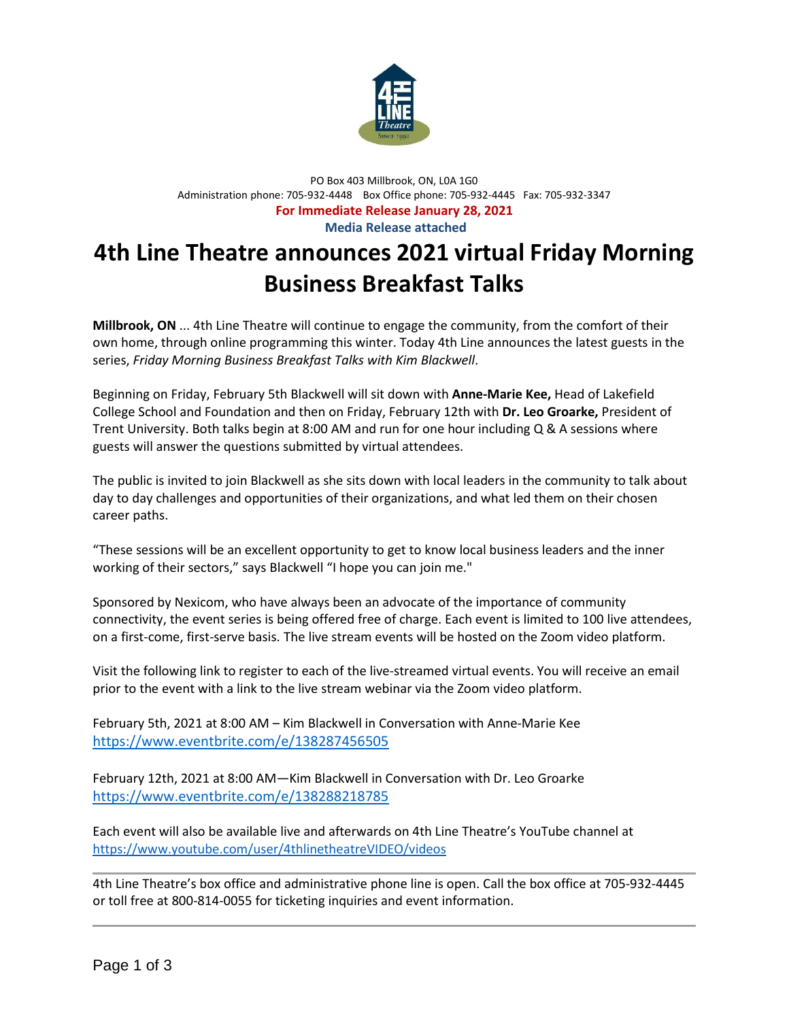

## PO Box 403 Millbrook, ON, L0A 1G0 Administration phone: 705-932-4448 Box Office phone: 705-932-4445 Fax: 705-932-3347 **For Immediate Release January 28, 2021 Media Release attached**

# **4th Line Theatre announces 2021 virtual Friday Morning Business Breakfast Talks**

**Millbrook, ON** ... 4th Line Theatre will continue to engage the community, from the comfort of their own home, through online programming this winter. Today 4th Line announces the latest guests in the series, *Friday Morning Business Breakfast Talks with Kim Blackwell*.

Beginning on Friday, February 5th Blackwell will sit down with **Anne-Marie Kee,** Head of Lakefield College School and Foundation and then on Friday, February 12th with **Dr. Leo Groarke,** President of Trent University. Both talks begin at 8:00 AM and run for one hour including Q & A sessions where guests will answer the questions submitted by virtual attendees.

The public is invited to join Blackwell as she sits down with local leaders in the community to talk about day to day challenges and opportunities of their organizations, and what led them on their chosen career paths.

"These sessions will be an excellent opportunity to get to know local business leaders and the inner working of their sectors," says Blackwell "I hope you can join me."

Sponsored by Nexicom, who have always been an advocate of the importance of community connectivity, the event series is being offered free of charge. Each event is limited to 100 live attendees, on a first-come, first-serve basis. The live stream events will be hosted on the Zoom video platform.

Visit the following link to register to each of the live-streamed virtual events. You will receive an email prior to the event with a link to the live stream webinar via the Zoom video platform.

February 5th, 2021 at 8:00 AM – Kim Blackwell in Conversation with Anne-Marie Kee <https://www.eventbrite.com/e/138287456505>

February 12th, 2021 at 8:00 AM—Kim Blackwell in Conversation with Dr. Leo Groarke <https://www.eventbrite.com/e/138288218785>

Each event will also be available live and afterwards on 4th Line Theatre's YouTube channel at <https://www.youtube.com/user/4thlinetheatreVIDEO/videos>

4th Line Theatre's box office and administrative phone line is open. Call the box office at 705-932-4445 or toll free at 800-814-0055 for ticketing inquiries and event information.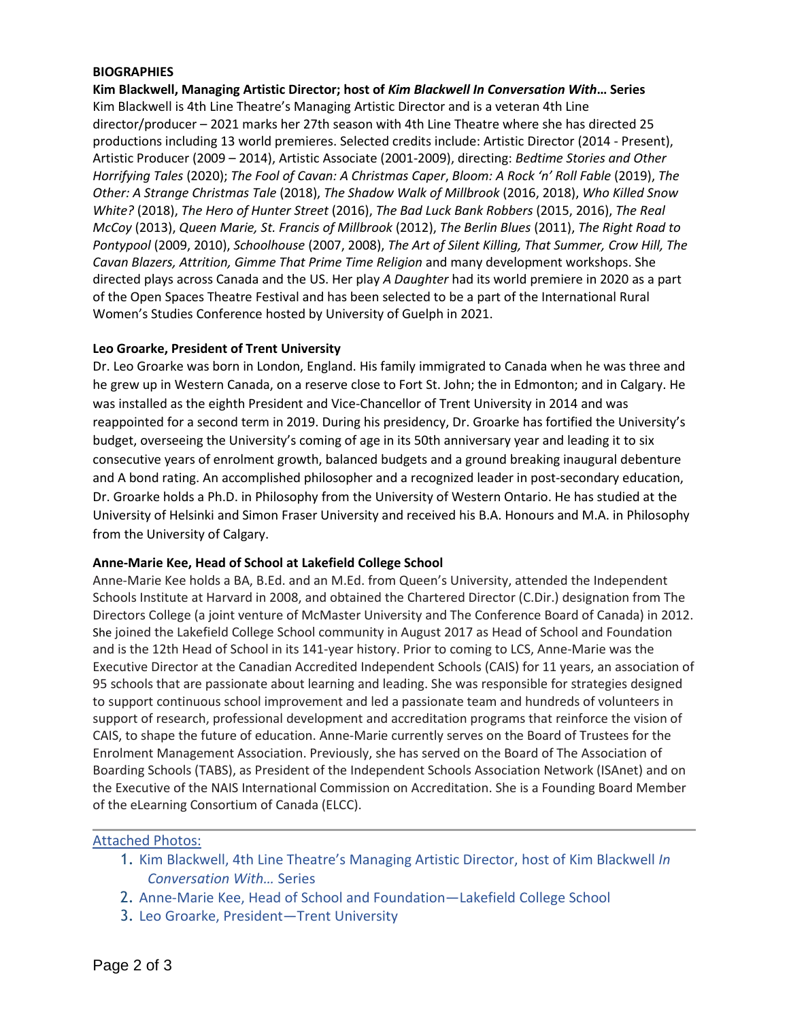#### **BIOGRAPHIES**

**Kim Blackwell, Managing Artistic Director; host of** *Kim Blackwell In Conversation With***… Series** Kim Blackwell is 4th Line Theatre's Managing Artistic Director and is a veteran 4th Line director/producer – 2021 marks her 27th season with 4th Line Theatre where she has directed 25 productions including 13 world premieres. Selected credits include: Artistic Director (2014 - Present), Artistic Producer (2009 – 2014), Artistic Associate (2001-2009), directing: *Bedtime Stories and Other Horrifying Tales* (2020); *The Fool of Cavan: A Christmas Caper*, *Bloom: A Rock 'n' Roll Fable* (2019), *The Other: A Strange Christmas Tale* (2018), *The Shadow Walk of Millbrook* (2016, 2018), *Who Killed Snow White?* (2018), *The Hero of Hunter Street* (2016), *The Bad Luck Bank Robbers* (2015, 2016), *The Real McCoy* (2013), *Queen Marie, St. Francis of Millbrook* (2012), *The Berlin Blues* (2011), *The Right Road to Pontypool* (2009, 2010), *Schoolhouse* (2007, 2008), *The Art of Silent Killing, That Summer, Crow Hill, The Cavan Blazers, Attrition, Gimme That Prime Time Religion* and many development workshops. She directed plays across Canada and the US. Her play *A Daughter* had its world premiere in 2020 as a part of the Open Spaces Theatre Festival and has been selected to be a part of the International Rural Women's Studies Conference hosted by University of Guelph in 2021.

### **Leo Groarke, President of Trent University**

Dr. Leo Groarke was born in London, England. His family immigrated to Canada when he was three and he grew up in Western Canada, on a reserve close to Fort St. John; the in Edmonton; and in Calgary. He was installed as the eighth President and Vice-Chancellor of Trent University in 2014 and was reappointed for a second term in 2019. During his presidency, Dr. Groarke has fortified the University's budget, overseeing the University's coming of age in its 50th anniversary year and leading it to six consecutive years of enrolment growth, balanced budgets and a ground breaking inaugural debenture and A bond rating. An accomplished philosopher and a recognized leader in post-secondary education, Dr. Groarke holds a Ph.D. in Philosophy from the University of Western Ontario. He has studied at the University of Helsinki and Simon Fraser University and received his B.A. Honours and M.A. in Philosophy from the University of Calgary.

### **Anne-Marie Kee, Head of School at Lakefield College School**

Anne-Marie Kee holds a BA, B.Ed. and an M.Ed. from Queen's University, attended the Independent Schools Institute at Harvard in 2008, and obtained the Chartered Director (C.Dir.) designation from The Directors College (a joint venture of McMaster University and The Conference Board of Canada) in 2012. She joined the Lakefield College School community in August 2017 as Head of School and Foundation and is the 12th Head of School in its 141-year history. Prior to coming to LCS, Anne-Marie was the Executive Director at the Canadian Accredited Independent Schools (CAIS) for 11 years, an association of 95 schools that are passionate about learning and leading. She was responsible for strategies designed to support continuous school improvement and led a passionate team and hundreds of volunteers in support of research, professional development and accreditation programs that reinforce the vision of CAIS, to shape the future of education. Anne-Marie currently serves on the Board of Trustees for the Enrolment Management Association. Previously, she has served on the Board of The Association of Boarding Schools (TABS), as President of the Independent Schools Association Network (ISAnet) and on the Executive of the NAIS International Commission on Accreditation. She is a Founding Board Member of the eLearning Consortium of Canada (ELCC).

### Attached Photos:

- 1. Kim Blackwell, 4th Line Theatre's Managing Artistic Director, host of Kim Blackwell *In Conversation With…* Series
- 2. Anne-Marie Kee, Head of School and Foundation—Lakefield College School
- 3. Leo Groarke, President—Trent University